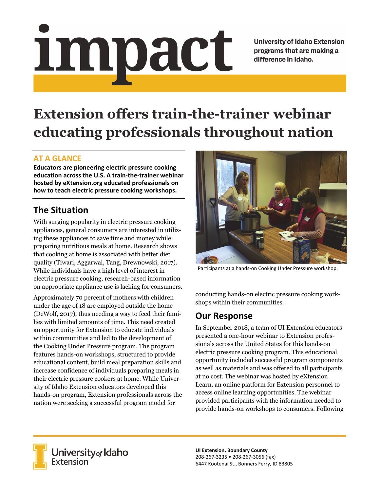# <u>impact</u>

**University of Idaho Extension** programs that are making a difference in Idaho.

# **Extension offers train-the-trainer webinar educating professionals throughout nation**

#### **AT A GLANCE**

**Educators are pioneering electric pressure cooking education across the U.S. A train‐the‐trainer webinar hosted by eXtension.org educated professionals on how to teach electric pressure cooking workshops.**

# **The Situation**

With surging popularity in electric pressure cooking appliances, general consumers are interested in utilizing these appliances to save time and money while preparing nutritious meals at home. Research shows that cooking at home is associated with better diet quality (Tiwari, Aggarwal, Tang, Drewnowski, 2017). While individuals have a high level of interest in electric pressure cooking, research-based information on appropriate appliance use is lacking for consumers.

Approximately 70 percent of mothers with children under the age of 18 are employed outside the home (DeWolf, 2017), thus needing a way to feed their families with limited amounts of time. This need created an opportunity for Extension to educate individuals within communities and led to the development of the Cooking Under Pressure program. The program features hands-on workshops, structured to provide educational content, build meal preparation skills and increase confidence of individuals preparing meals in their electric pressure cookers at home. While University of Idaho Extension educators developed this hands-on program, Extension professionals across the nation were seeking a successful program model for



Participants at a hands‐on Cooking Under Pressure workshop.

conducting hands-on electric pressure cooking workshops within their communities.

## **Our Response**

In September 2018, a team of UI Extension educators presented a one-hour webinar to Extension professionals across the United States for this hands-on electric pressure cooking program. This educational opportunity included successful program components as well as materials and was offered to all participants at no cost. The webinar was hosted by eXtension Learn, an online platform for Extension personnel to access online learning opportunities. The webinar provided participants with the information needed to provide hands-on workshops to consumers. Following



**University** of Idaho<br>Extension

**UI Extension, Boundary County** 208‐267‐3235 • 208‐267‐3056 (fax) 6447 Kootenai St., Bonners Ferry, ID 83805